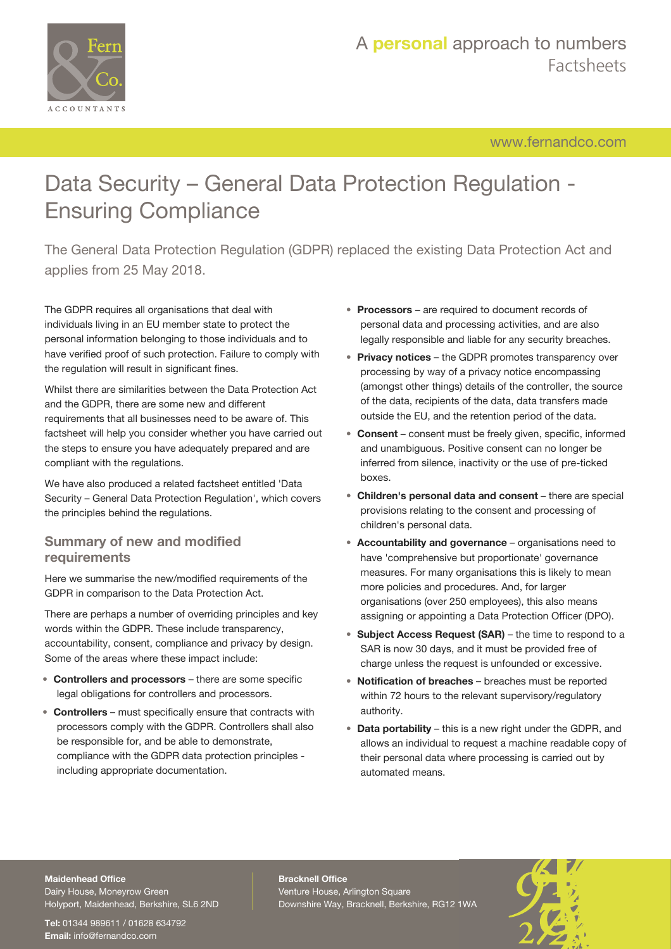

[www.fernandco.com](http://www.fernandco.com)

# Data Security – General Data Protection Regulation - Ensuring Compliance

The General Data Protection Regulation (GDPR) replaced the existing Data Protection Act and applies from 25 May 2018.

The GDPR requires all organisations that deal with individuals living in an EU member state to protect the personal information belonging to those individuals and to have verified proof of such protection. Failure to comply with the regulation will result in significant fines.

Whilst there are similarities between the Data Protection Act and the GDPR, there are some new and different requirements that all businesses need to be aware of. This factsheet will help you consider whether you have carried out the steps to ensure you have adequately prepared and are compliant with the regulations.

We have also produced a related factsheet entitled 'Data Security – General Data Protection Regulation', which covers the principles behind the regulations.

#### **Summary of new and modified requirements**

Here we summarise the new/modified requirements of the GDPR in comparison to the Data Protection Act.

There are perhaps a number of overriding principles and key words within the GDPR. These include transparency, accountability, consent, compliance and privacy by design. Some of the areas where these impact include:

- **Controllers and processors** there are some specific legal obligations for controllers and processors.
- **Controllers** must specifically ensure that contracts with processors comply with the GDPR. Controllers shall also be responsible for, and be able to demonstrate, compliance with the GDPR data protection principles including appropriate documentation.
- **Processors** are required to document records of personal data and processing activities, and are also legally responsible and liable for any security breaches.
- **Privacy notices** the GDPR promotes transparency over processing by way of a privacy notice encompassing (amongst other things) details of the controller, the source of the data, recipients of the data, data transfers made outside the EU, and the retention period of the data.
- **Consent** consent must be freely given, specific, informed and unambiguous. Positive consent can no longer be inferred from silence, inactivity or the use of pre-ticked boxes.
- **Children's personal data and consent** there are special provisions relating to the consent and processing of children's personal data.
- **Accountability and governance** organisations need to have 'comprehensive but proportionate' governance measures. For many organisations this is likely to mean more policies and procedures. And, for larger organisations (over 250 employees), this also means assigning or appointing a Data Protection Officer (DPO).
- **Subject Access Request (SAR)** the time to respond to a SAR is now 30 days, and it must be provided free of charge unless the request is unfounded or excessive.
- **Notification of breaches** breaches must be reported within 72 hours to the relevant supervisory/regulatory authority.
- **Data portability** this is a new right under the GDPR, and allows an individual to request a machine readable copy of their personal data where processing is carried out by automated means.

#### **Maidenhead Office**

Dairy House, Moneyrow Green Holyport, Maidenhead, Berkshire, SL6 2ND

**Tel:** 01344 989611 / 01628 634792 **Email:** [info@fernandco.com](mailto:info@fernandco.com)

**Bracknell Office** Venture House, Arlington Square Downshire Way, Bracknell, Berkshire, RG12 1WA

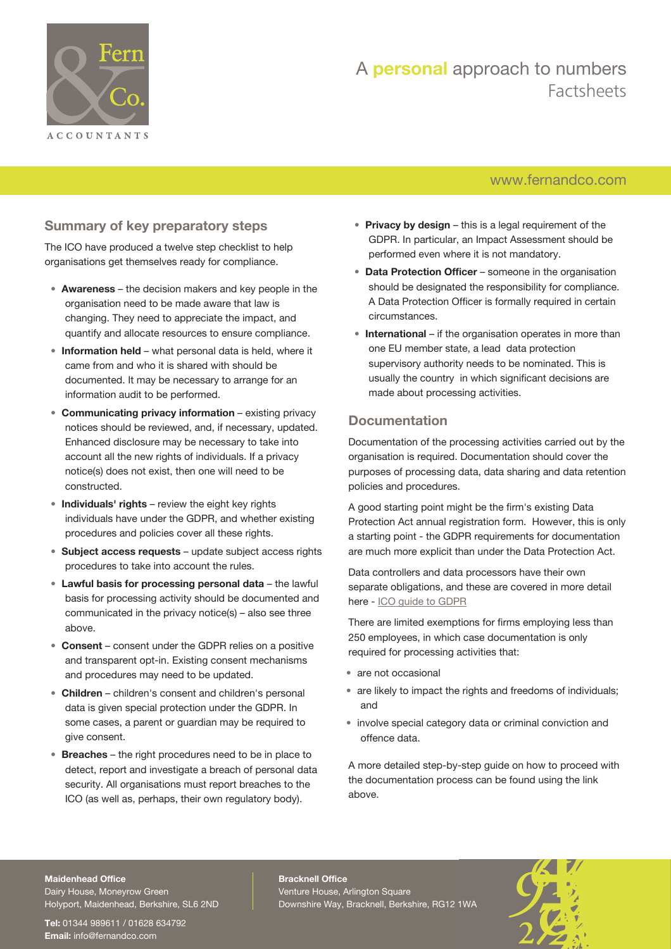

## A **personal** approach to numbers Factsheets

### [www.fernandco.com](http://www.fernandco.com)

#### **Summary of key preparatory steps**

The ICO have produced a twelve step checklist to help organisations get themselves ready for compliance.

- **Awareness** the decision makers and key people in the organisation need to be made aware that law is changing. They need to appreciate the impact, and quantify and allocate resources to ensure compliance.
- **Information held** what personal data is held, where it came from and who it is shared with should be documented. It may be necessary to arrange for an information audit to be performed.
- **Communicating privacy information** existing privacy notices should be reviewed, and, if necessary, updated. Enhanced disclosure may be necessary to take into account all the new rights of individuals. If a privacy notice(s) does not exist, then one will need to be constructed.
- **Individuals' rights** review the eight key rights individuals have under the GDPR, and whether existing procedures and policies cover all these rights.
- **Subject access requests** update subject access rights procedures to take into account the rules.
- **Lawful basis for processing personal data** the lawful basis for processing activity should be documented and communicated in the privacy notice(s) – also see three above.
- **Consent** consent under the GDPR relies on a positive and transparent opt-in. Existing consent mechanisms and procedures may need to be updated.
- **Children** children's consent and children's personal data is given special protection under the GDPR. In some cases, a parent or guardian may be required to give consent.
- **Breaches** the right procedures need to be in place to detect, report and investigate a breach of personal data security. All organisations must report breaches to the ICO (as well as, perhaps, their own regulatory body).
- **Privacy by design** this is a legal requirement of the GDPR. In particular, an Impact Assessment should be performed even where it is not mandatory.
- **Data Protection Officer** someone in the organisation should be designated the responsibility for compliance. A Data Protection Officer is formally required in certain circumstances.
- **International** if the organisation operates in more than one EU member state, a lead data protection supervisory authority needs to be nominated. This is usually the country in which significant decisions are made about processing activities.

#### **Documentation**

Documentation of the processing activities carried out by the organisation is required. Documentation should cover the purposes of processing data, data sharing and data retention policies and procedures.

A good starting point might be the firm's existing Data Protection Act annual registration form. However, this is only a starting point - the GDPR requirements for documentation are much more explicit than under the Data Protection Act.

Data controllers and data processors have their own separate obligations, and these are covered in more detail here - [ICO guide to GDPR](https://ico.org.uk/for-organisations/guide-to-the-general-data-protection-regulation-gdpr/documentation/)

There are limited exemptions for firms employing less than 250 employees, in which case documentation is only required for processing activities that:

- are not occasional
- are likely to impact the rights and freedoms of individuals; and
- involve special category data or criminal conviction and offence data.

A more detailed step-by-step guide on how to proceed with the documentation process can be found using the link above.

#### **Maidenhead Office**

Dairy House, Moneyrow Green Holyport, Maidenhead, Berkshire, SL6 2ND

**Tel:** 01344 989611 / 01628 634792 **Email:** [info@fernandco.com](mailto:info@fernandco.com)

**Bracknell Office** Venture House, Arlington Square Downshire Way, Bracknell, Berkshire, RG12 1WA